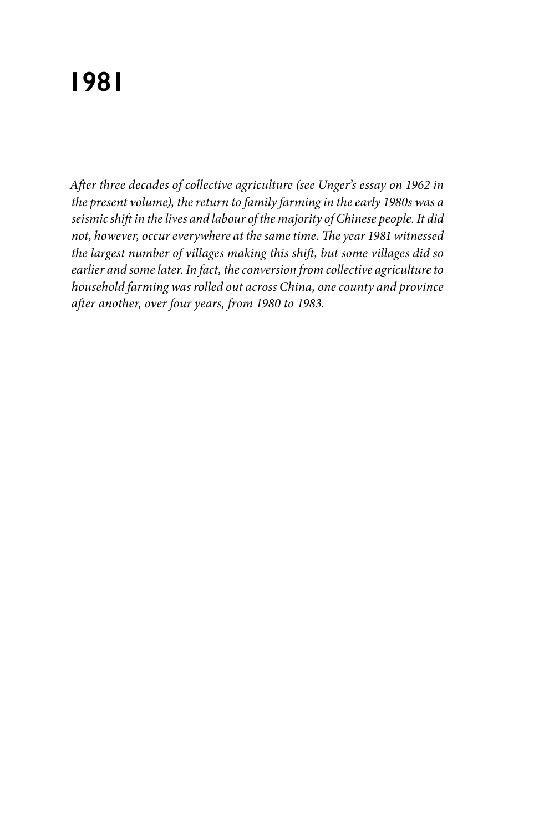## **1981**

*After three decades of collective agriculture (see Unger's essay on 1962 in the present volume), the return to family farming in the early 1980s was a seismic shift in the lives and labour of the majority of Chinese people. It did not, however, occur everywhere at the same time. The year 1981 witnessed the largest number of villages making this shift, but some villages did so earlier and some later. In fact, the conversion from collective agriculture to household farming was rolled out across China, one county and province after another, over four years, from 1980 to 1983.*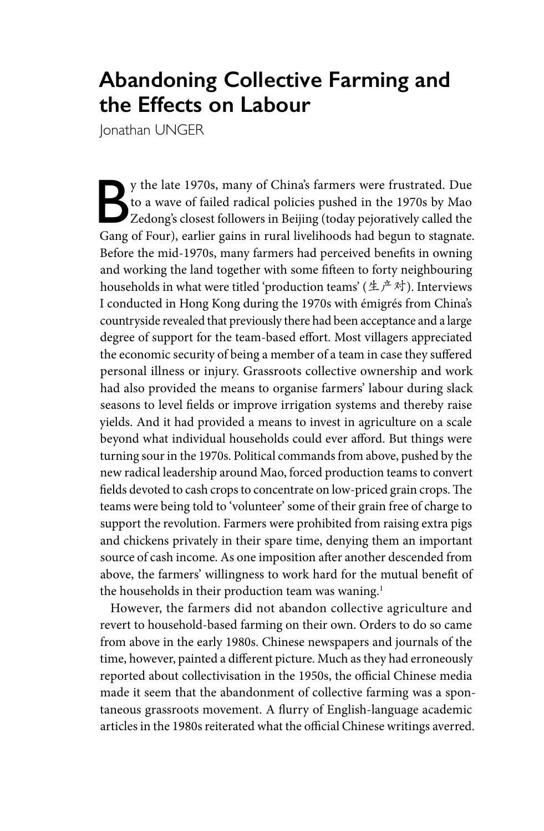## **Abandoning Collective Farming and the Effects on Labour**

Jonathan UNGER

By the late 1970s, many of China's farmers were frustrated. Due<br>to a wave of failed radical policies pushed in the 1970s by Mao<br>Zedong's closest followers in Beijing (today pejoratively called the<br>cancel four) explicit gai to a wave of failed radical policies pushed in the 1970s by Mao Gang of Four), earlier gains in rural livelihoods had begun to stagnate. Before the mid-1970s, many farmers had perceived benefits in owning and working the land together with some fifteen to forty neighbouring households in what were titled 'production teams' (生产对). Interviews I conducted in Hong Kong during the 1970s with émigrés from China's countryside revealed that previously there had been acceptance and a large degree of support for the team-based effort. Most villagers appreciated the economic security of being a member of a team in case they suffered personal illness or injury. Grassroots collective ownership and work had also provided the means to organise farmers' labour during slack seasons to level fields or improve irrigation systems and thereby raise yields. And it had provided a means to invest in agriculture on a scale beyond what individual households could ever afford. But things were turning sour in the 1970s. Political commands from above, pushed by the new radical leadership around Mao, forced production teams to convert fields devoted to cash crops to concentrate on low-priced grain crops. The teams were being told to 'volunteer' some of their grain free of charge to support the revolution. Farmers were prohibited from raising extra pigs and chickens privately in their spare time, denying them an important source of cash income. As one imposition after another descended from above, the farmers' willingness to work hard for the mutual benefit of the households in their production team was waning.<sup>1</sup>

However, the farmers did not abandon collective agriculture and revert to household-based farming on their own. Orders to do so came from above in the early 1980s. Chinese newspapers and journals of the time, however, painted a different picture. Much as they had erroneously reported about collectivisation in the 1950s, the official Chinese media made it seem that the abandonment of collective farming was a spontaneous grassroots movement. A flurry of English-language academic articles in the 1980s reiterated what the official Chinese writings averred.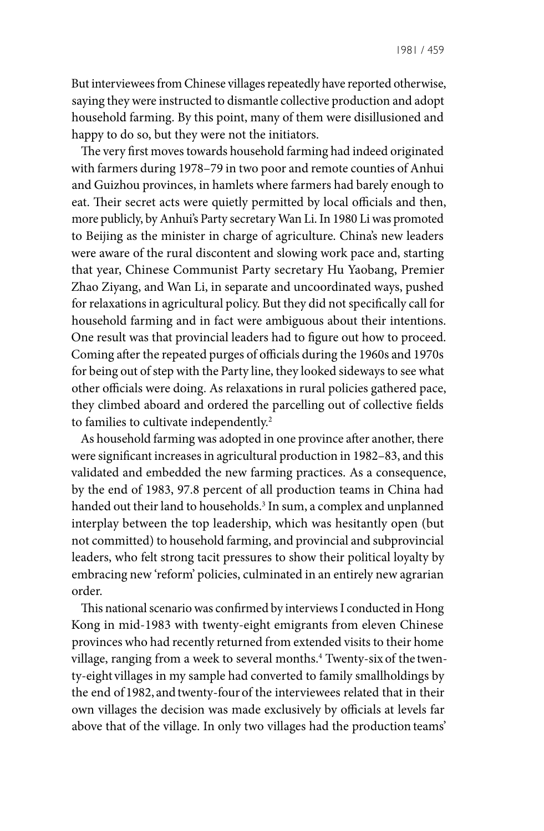But interviewees from Chinese villages repeatedly have reported otherwise, saying they were instructed to dismantle collective production and adopt household farming. By this point, many of them were disillusioned and happy to do so, but they were not the initiators.

The very first moves towards household farming had indeed originated with farmers during 1978–79 in two poor and remote counties of Anhui and Guizhou provinces, in hamlets where farmers had barely enough to eat. Their secret acts were quietly permitted by local officials and then, more publicly, by Anhui's Party secretary Wan Li. In 1980 Li was promoted to Beijing as the minister in charge of agriculture. China's new leaders were aware of the rural discontent and slowing work pace and, starting that year, Chinese Communist Party secretary Hu Yaobang, Premier Zhao Ziyang, and Wan Li, in separate and uncoordinated ways, pushed for relaxations in agricultural policy. But they did not specifically call for household farming and in fact were ambiguous about their intentions. One result was that provincial leaders had to figure out how to proceed. Coming after the repeated purges of officials during the 1960s and 1970s for being out of step with the Party line, they looked sideways to see what other officials were doing. As relaxations in rural policies gathered pace, they climbed aboard and ordered the parcelling out of collective fields to families to cultivate independently.<sup>2</sup>

As household farming was adopted in one province after another, there were significant increases in agricultural production in 1982–83, and this validated and embedded the new farming practices. As a consequence, by the end of 1983, 97.8 percent of all production teams in China had handed out their land to households.<sup>3</sup> In sum, a complex and unplanned interplay between the top leadership, which was hesitantly open (but not committed) to household farming, and provincial and subprovincial leaders, who felt strong tacit pressures to show their political loyalty by embracing new 'reform' policies, culminated in an entirely new agrarian order.

This national scenario was confirmed by interviews I conducted in Hong Kong in mid-1983 with twenty-eight emigrants from eleven Chinese provinces who had recently returned from extended visits to their home village, ranging from a week to several months.<sup>4</sup> Twenty-six of the twenty-eight villages in my sample had converted to family smallholdings by the end of 1982, andtwenty-four of the interviewees related that in their own villages the decision was made exclusively by officials at levels far above that of the village. In only two villages had the production teams'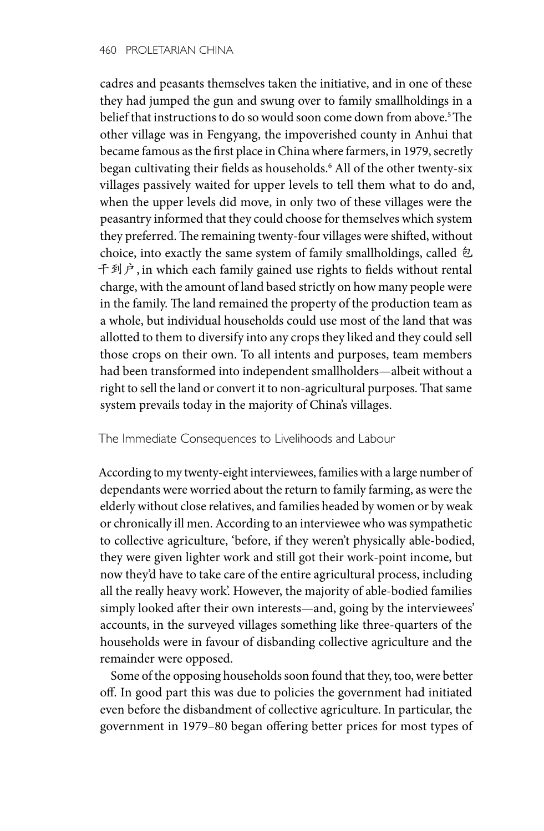cadres and peasants themselves taken the initiative, and in one of these they had jumped the gun and swung over to family smallholdings in a belief that instructions to do so would soon come down from above.<sup>5</sup> The other village was in Fengyang, the impoverished county in Anhui that became famous as the first place in China where farmers, in 1979, secretly began cultivating their fields as households.6 All of the other twenty-six villages passively waited for upper levels to tell them what to do and, when the upper levels did move, in only two of these villages were the peasantry informed that they could choose for themselves which system they preferred. The remaining twenty-four villages were shifted, without choice, into exactly the same system of family smallholdings, called 包 千到户, in which each family gained use rights to fields without rental charge, with the amount of land based strictly on how many people were in the family. The land remained the property of the production team as a whole, but individual households could use most of the land that was allotted to them to diversify into any crops they liked and they could sell those crops on their own. To all intents and purposes, team members had been transformed into independent smallholders—albeit without a right to sell the land or convert it to non-agricultural purposes. That same system prevails today in the majority of China's villages.

The Immediate Consequences to Livelihoods and Labour

According to my twenty-eight interviewees, families with a large number of dependants were worried about the return to family farming, as were the elderly without close relatives, and families headed by women or by weak or chronically ill men. According to an interviewee who was sympathetic to collective agriculture, 'before, if they weren't physically able-bodied, they were given lighter work and still got their work-point income, but now they'd have to take care of the entire agricultural process, including all the really heavy work'. However, the majority of able-bodied families simply looked after their own interests—and, going by the interviewees' accounts, in the surveyed villages something like three-quarters of the households were in favour of disbanding collective agriculture and the remainder were opposed.

Some of the opposing households soon found that they, too, were better off. In good part this was due to policies the government had initiated even before the disbandment of collective agriculture. In particular, the government in 1979–80 began offering better prices for most types of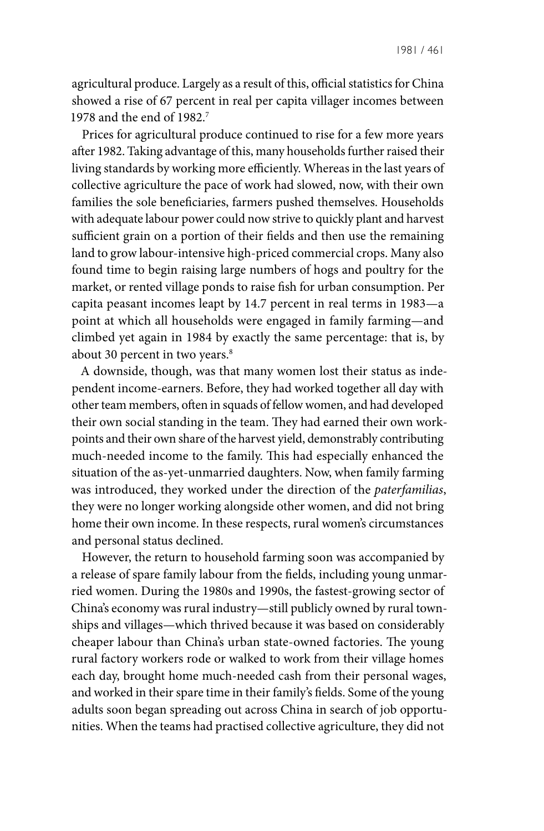agricultural produce. Largely as a result of this, official statistics for China showed a rise of 67 percent in real per capita villager incomes between 1978 and the end of 1982.7

Prices for agricultural produce continued to rise for a few more years after 1982. Taking advantage of this, many households further raised their living standards by working more efficiently. Whereas in the last years of collective agriculture the pace of work had slowed, now, with their own families the sole beneficiaries, farmers pushed themselves. Households with adequate labour power could now strive to quickly plant and harvest sufficient grain on a portion of their fields and then use the remaining land to grow labour-intensive high-priced commercial crops. Many also found time to begin raising large numbers of hogs and poultry for the market, or rented village ponds to raise fish for urban consumption. Per capita peasant incomes leapt by 14.7 percent in real terms in 1983—a point at which all households were engaged in family farming—and climbed yet again in 1984 by exactly the same percentage: that is, by about 30 percent in two years.<sup>8</sup>

A downside, though, was that many women lost their status as independent income-earners. Before, they had worked together all day with other team members, often in squads of fellow women, and had developed their own social standing in the team. They had earned their own workpoints and their own share of the harvest yield, demonstrably contributing much-needed income to the family. This had especially enhanced the situation of the as-yet-unmarried daughters. Now, when family farming was introduced, they worked under the direction of the *paterfamilias*, they were no longer working alongside other women, and did not bring home their own income. In these respects, rural women's circumstances and personal status declined.

However, the return to household farming soon was accompanied by a release of spare family labour from the fields, including young unmarried women. During the 1980s and 1990s, the fastest-growing sector of China's economy was rural industry—still publicly owned by rural townships and villages—which thrived because it was based on considerably cheaper labour than China's urban state-owned factories. The young rural factory workers rode or walked to work from their village homes each day, brought home much-needed cash from their personal wages, and worked in their spare time in their family's fields. Some of the young adults soon began spreading out across China in search of job opportunities. When the teams had practised collective agriculture, they did not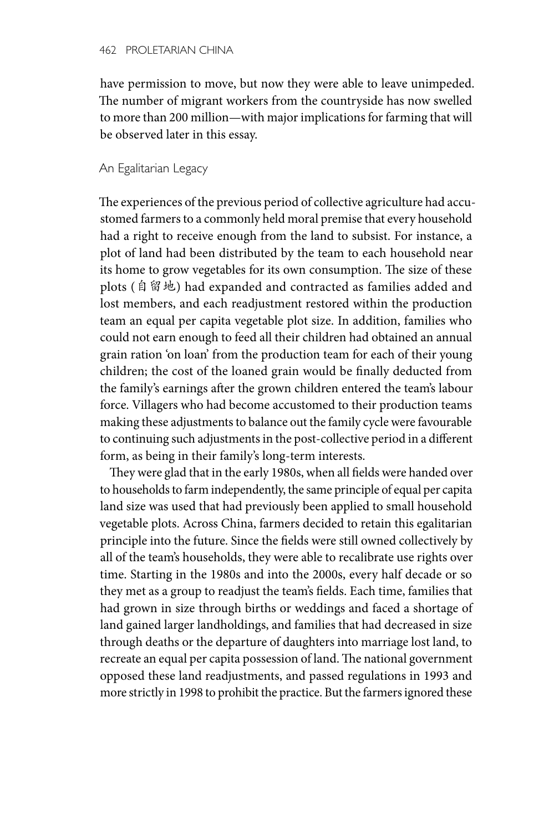have permission to move, but now they were able to leave unimpeded. The number of migrant workers from the countryside has now swelled to more than 200 million—with major implications for farming that will be observed later in this essay.

## An Egalitarian Legacy

The experiences of the previous period of collective agriculture had accustomed farmers to a commonly held moral premise that every household had a right to receive enough from the land to subsist. For instance, a plot of land had been distributed by the team to each household near its home to grow vegetables for its own consumption. The size of these plots (自留地) had expanded and contracted as families added and lost members, and each readjustment restored within the production team an equal per capita vegetable plot size. In addition, families who could not earn enough to feed all their children had obtained an annual grain ration 'on loan' from the production team for each of their young children; the cost of the loaned grain would be finally deducted from the family's earnings after the grown children entered the team's labour force. Villagers who had become accustomed to their production teams making these adjustments to balance out the family cycle were favourable to continuing such adjustments in the post-collective period in a different form, as being in their family's long-term interests.

They were glad that in the early 1980s, when all fields were handed over to households to farm independently, the same principle of equal per capita land size was used that had previously been applied to small household vegetable plots. Across China, farmers decided to retain this egalitarian principle into the future. Since the fields were still owned collectively by all of the team's households, they were able to recalibrate use rights over time. Starting in the 1980s and into the 2000s, every half decade or so they met as a group to readjust the team's fields. Each time, families that had grown in size through births or weddings and faced a shortage of land gained larger landholdings, and families that had decreased in size through deaths or the departure of daughters into marriage lost land, to recreate an equal per capita possession of land. The national government opposed these land readjustments, and passed regulations in 1993 and more strictly in 1998 to prohibit the practice. But the farmers ignored these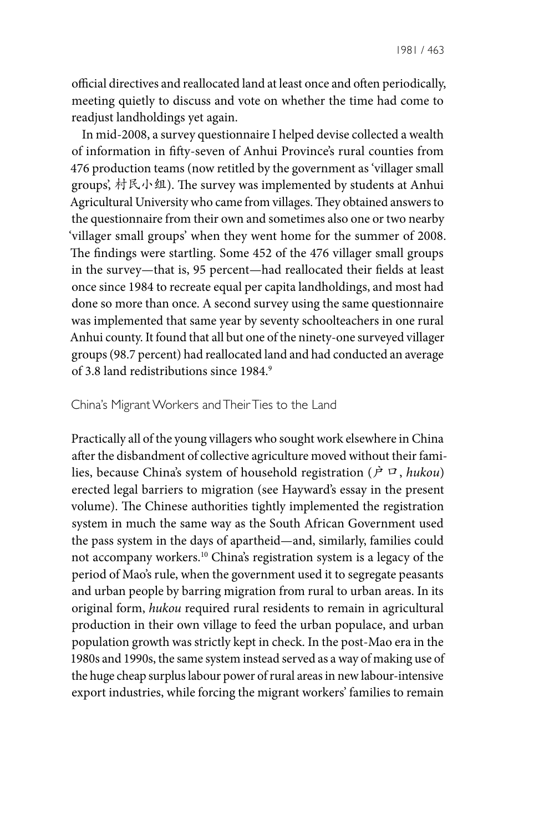official directives and reallocated land at least once and often periodically, meeting quietly to discuss and vote on whether the time had come to readjust landholdings yet again.

In mid-2008, a survey questionnaire I helped devise collected a wealth of information in fifty-seven of Anhui Province's rural counties from 476 production teams (now retitled by the government as 'villager small groups', 村民小组). The survey was implemented by students at Anhui Agricultural University who came from villages. They obtained answers to the questionnaire from their own and sometimes also one or two nearby 'villager small groups' when they went home for the summer of 2008. The findings were startling. Some 452 of the 476 villager small groups in the survey—that is, 95 percent—had reallocated their fields at least once since 1984 to recreate equal per capita landholdings, and most had done so more than once. A second survey using the same questionnaire was implemented that same year by seventy schoolteachers in one rural Anhui county. It found that all but one of the ninety-one surveyed villager groups (98.7 percent) had reallocated land and had conducted an average of 3.8 land redistributions since 1984.9

## China's Migrant Workers and Their Ties to the Land

Practically all of the young villagers who sought work elsewhere in China after the disbandment of collective agriculture moved without their families, because China's system of household registration (户口, *hukou*) erected legal barriers to migration (see Hayward's essay in the present volume). The Chinese authorities tightly implemented the registration system in much the same way as the South African Government used the pass system in the days of apartheid—and, similarly, families could not accompany workers.10 China's registration system is a legacy of the period of Mao's rule, when the government used it to segregate peasants and urban people by barring migration from rural to urban areas. In its original form, *hukou* required rural residents to remain in agricultural production in their own village to feed the urban populace, and urban population growth was strictly kept in check. In the post-Mao era in the 1980s and 1990s, the same system instead served as a way of making use of the huge cheap surplus labour power of rural areas in new labour-intensive export industries, while forcing the migrant workers' families to remain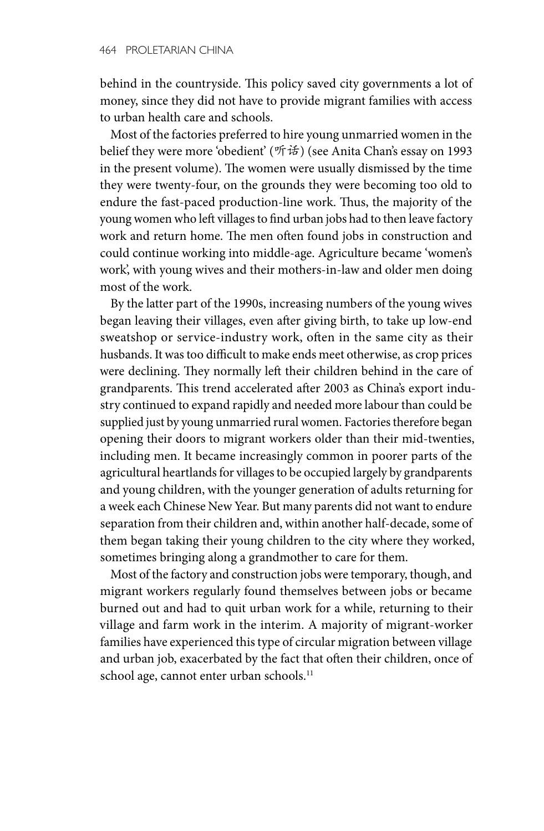behind in the countryside. This policy saved city governments a lot of money, since they did not have to provide migrant families with access to urban health care and schools.

Most of the factories preferred to hire young unmarried women in the belief they were more 'obedient' (听话) (see Anita Chan's essay on 1993 in the present volume). The women were usually dismissed by the time they were twenty-four, on the grounds they were becoming too old to endure the fast-paced production-line work. Thus, the majority of the young women who left villages to find urban jobs had to then leave factory work and return home. The men often found jobs in construction and could continue working into middle-age. Agriculture became 'women's work', with young wives and their mothers-in-law and older men doing most of the work.

By the latter part of the 1990s, increasing numbers of the young wives began leaving their villages, even after giving birth, to take up low-end sweatshop or service-industry work, often in the same city as their husbands. It was too difficult to make ends meet otherwise, as crop prices were declining. They normally left their children behind in the care of grandparents. This trend accelerated after 2003 as China's export industry continued to expand rapidly and needed more labour than could be supplied just by young unmarried rural women. Factories therefore began opening their doors to migrant workers older than their mid-twenties, including men. It became increasingly common in poorer parts of the agricultural heartlands for villages to be occupied largely by grandparents and young children, with the younger generation of adults returning for a week each Chinese New Year. But many parents did not want to endure separation from their children and, within another half-decade, some of them began taking their young children to the city where they worked, sometimes bringing along a grandmother to care for them.

Most of the factory and construction jobs were temporary, though, and migrant workers regularly found themselves between jobs or became burned out and had to quit urban work for a while, returning to their village and farm work in the interim. A majority of migrant-worker families have experienced this type of circular migration between village and urban job, exacerbated by the fact that often their children, once of school age, cannot enter urban schools.<sup>11</sup>